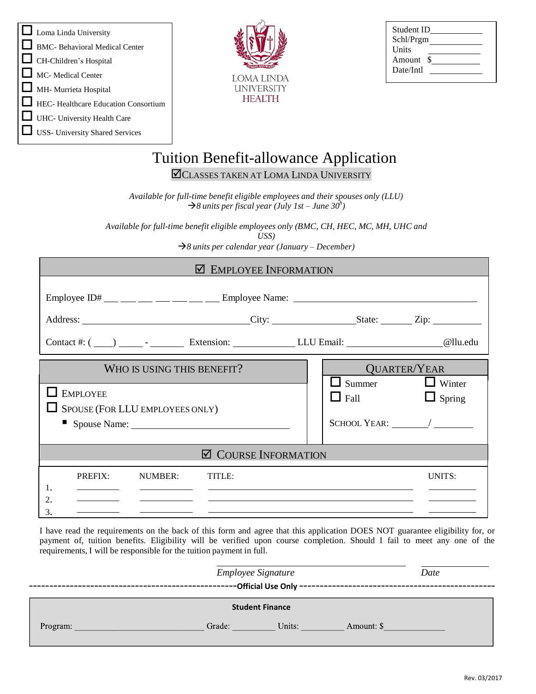**Lackson** Linda University BMC- Behavioral Medical Center CH-Children's Hospital MC- Medical Center MH- Murrieta Hospital HEC- Healthcare Education Consortium UHC- University Health Care USS- University Shared Services



| Student ID |  |
|------------|--|
|            |  |
| Schl/Prgm  |  |
| Units      |  |
| Amount     |  |
| Date/Intl  |  |
|            |  |

## Tuition Benefit-allowance Application **ZCLASSES TAKEN AT LOMA LINDA UNIVERSITY**

*Available for full-time benefit eligible employees and their spouses only (LLU)*  $\rightarrow$ 8 *units per fiscal year* (*July 1st* – *June* 30<sup>*h*</sup>)

*Available for full-time benefit eligible employees only (BMC, CH, HEC, MC, MH, UHC and*

*USS)*

*8 units per calendar year (January – December)*

## **EMPLOYEE INFORMATION**

|                                                                                                                           |                                              |                                | Employee ID# $\_\_\_\_\_\_\_\_\_\_\_\_\_\_\_\_\_\_\_\_\_\_\_\$ Employee Name: $\_\_\_\_\_\_\_\_\_\_\_\_\_\_\_\_\_\_\_\_\_\_\_\_\_\_\_\_\_\_\_\_\_\_$ |                                                       |
|---------------------------------------------------------------------------------------------------------------------------|----------------------------------------------|--------------------------------|------------------------------------------------------------------------------------------------------------------------------------------------------|-------------------------------------------------------|
|                                                                                                                           |                                              |                                |                                                                                                                                                      |                                                       |
|                                                                                                                           |                                              |                                |                                                                                                                                                      |                                                       |
| <b>EMPLOYEE</b><br>$\Box$ SPOUSE (FOR LLU EMPLOYEES ONLY)                                                                 | WHO IS USING THIS BENEFIT?                   |                                | $\Box$ Summer<br>$\Box$ Fall<br>SCHOOL YEAR: $\angle$                                                                                                | <b>QUARTER/YEAR</b><br>$\Box$ Winter<br>$\Box$ Spring |
|                                                                                                                           |                                              | $\boxtimes$ COURSE INFORMATION |                                                                                                                                                      |                                                       |
| PREFIX:                                                                                                                   | NUMBER:                                      | TITLE:                         |                                                                                                                                                      | UNITS:                                                |
| 1.<br><u> 1989 - John Harry Harry Harry Harry Harry Harry Harry Harry Harry Harry Harry Harry Harry Harry Harry Harry</u> | the control of the control of the control of |                                |                                                                                                                                                      |                                                       |

I have read the requirements on the back of this form and agree that this application DOES NOT guarantee eligibility for, or payment of, tuition benefits. Eligibility will be verified upon course completion. Should I fail to meet any one of the requirements, I will be responsible for the tuition payment in full.

|                                                | Date   |        |            |  |  |  |  |  |  |
|------------------------------------------------|--------|--------|------------|--|--|--|--|--|--|
| -Official Use Only -<br><b>Student Finance</b> |        |        |            |  |  |  |  |  |  |
| Program:                                       | Grade: | Units: | Amount: \$ |  |  |  |  |  |  |